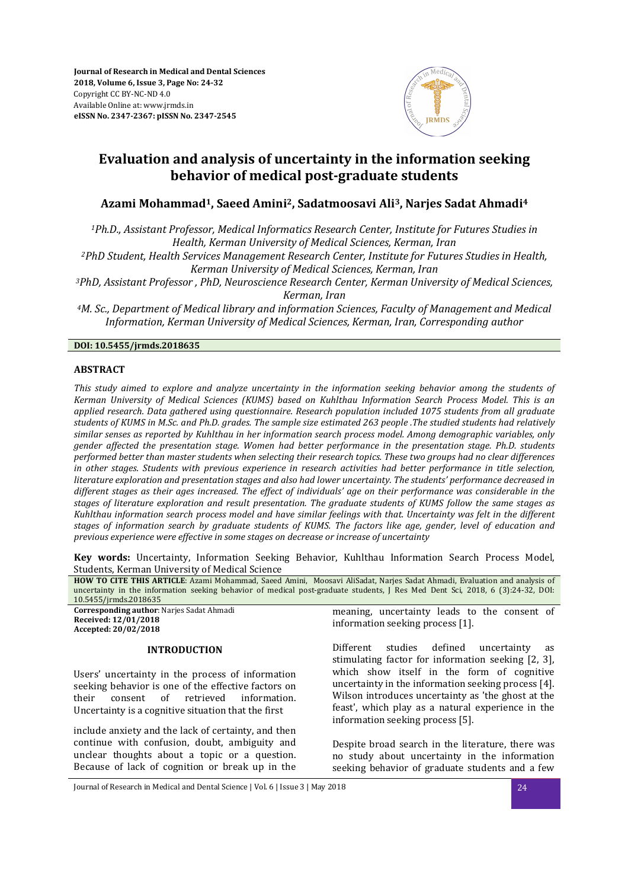**Journal of Research in Medical and Dental Sciences 2018, Volume 6, Issue 3, Page No: 24-32**  Copyright CC BY-NC-ND 4.0 Available Online at: www.jrmds.in **eISSN No. 2347-2367: pISSN No. 2347-2545**



## **Evaluation and analysis of uncertainty in the information seeking behavior of medical post-graduate students**

## **Azami Mohammad1, Saeed Amini2, Sadatmoosavi Ali3, Narjes Sadat Ahmadi<sup>4</sup>**

*<sup>1</sup>Ph.D., Assistant Professor, Medical Informatics Research Center, Institute for Futures Studies in Health, Kerman University of Medical Sciences, Kerman, Iran* 

*<sup>2</sup>PhD Student, Health Services Management Research Center, Institute for Futures Studies in Health, Kerman University of Medical Sciences, Kerman, Iran*

*<sup>3</sup>PhD, Assistant Professor , PhD, Neuroscience Research Center, Kerman University of Medical Sciences, Kerman, Iran* 

*<sup>4</sup>M. Sc., Department of Medical library and information Sciences, Faculty of Management and Medical Information, Kerman University of Medical Sciences, Kerman, Iran, Corresponding author* 

## **DOI: 10.5455/jrmds.2018635**

### **ABSTRACT**

*This study aimed to explore and analyze uncertainty in the information seeking behavior among the students of Kerman University of Medical Sciences (KUMS) based on Kuhlthau Information Search Process Model. This is an applied research. Data gathered using questionnaire. Research population included 1075 students from all graduate students of KUMS in M.Sc. and Ph.D. grades. The sample size estimated 263 people .The studied students had relatively similar senses as reported by Kuhlthau in her information search process model. Among demographic variables, only gender affected the presentation stage. Women had better performance in the presentation stage. Ph.D. students performed better than master students when selecting their research topics. These two groups had no clear differences in other stages. Students with previous experience in research activities had better performance in title selection, literature exploration and presentation stages and also had lower uncertainty. The students' performance decreased in different stages as their ages increased. The effect of individuals' age on their performance was considerable in the stages of literature exploration and result presentation. The graduate students of KUMS follow the same stages as Kuhlthau information search process model and have similar feelings with that. Uncertainty was felt in the different stages of information search by graduate students of KUMS. The factors like age, gender, level of education and previous experience were effective in some stages on decrease or increase of uncertainty* 

**Key words:** Uncertainty, Information Seeking Behavior, Kuhlthau Information Search Process Model, Students, Kerman University of Medical Science

**HOW TO CITE THIS ARTICLE**: Azami Mohammad, Saeed Amini, Moosavi AliSadat, Narjes Sadat Ahmadi, Evaluation and analysis of uncertainty in the information seeking behavior of medical post-graduate students, J Res Med Dent Sci, 2018, 6 (3):24-32, DOI: 10.5455/jrmds.2018635 **Corresponding author**: Narjes Sadat Ahmadi **Received: 12/01/2018 Accepted: 20/02/2018 INTRODUCTION**  Users' uncertainty in the process of information seeking behavior is one of the effective factors on their consent of retrieved information. Uncertainty is a cognitive situation that the first meaning, uncertainty leads to the consent of information seeking process [1]. Different studies defined uncertainty as stimulating factor for information seeking [2, 3], which show itself in the form of cognitive uncertainty in the information seeking process [4]. Wilson introduces uncertainty as 'the ghost at the feast', which play as a natural experience in the information seeking process [5].

include anxiety and the lack of certainty, and then continue with confusion, doubt, ambiguity and unclear thoughts about a topic or a question. Because of lack of cognition or break up in the

Despite broad search in the literature, there was no study about uncertainty in the information seeking behavior of graduate students and a few

Journal of Research in Medical and Dental Science | Vol. 6 | Issue 3 | May 2018 24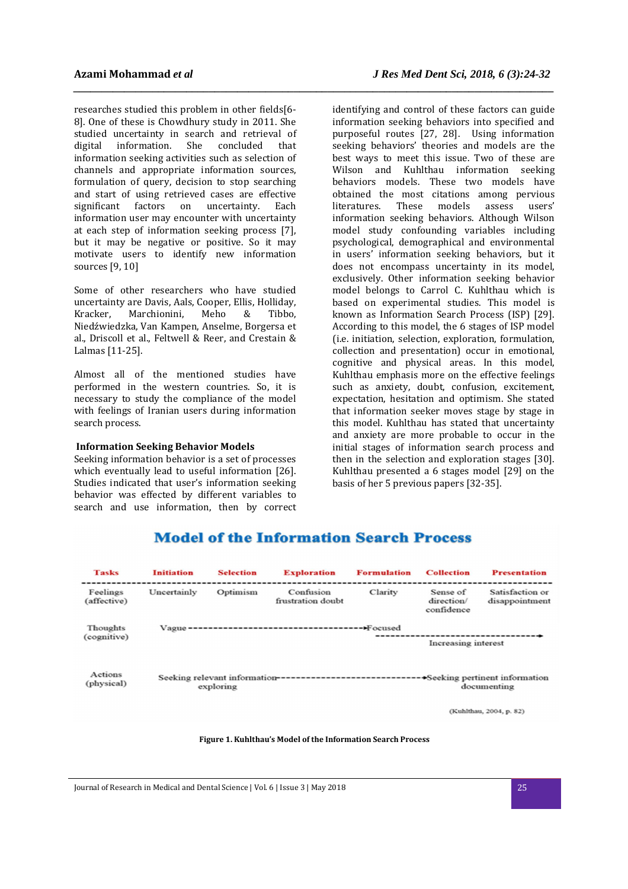researches studied this problem in other fields[6- 8]. One of these is Chowdhury study in 2011. She studied uncertainty in search and retrieval of digital information. She concluded that information seeking activities such as selection of channels and appropriate information sources, formulation of query, decision to stop searching and start of using retrieved cases are effective significant factors on uncertainty. Each information user may encounter with uncertainty at each step of information seeking process [7], but it may be negative or positive. So it may motivate users to identify new information sources [9, 10]

Some of other researchers who have studied uncertainty are Davis, Aals, Cooper, Ellis, Holliday, Kracker, Marchionini, Meho & Tibbo, Niedźwiedzka, Van Kampen, Anselme, Borgersa et al., Driscoll et al., Feltwell & Reer, and Crestain & Lalmas [11-25].

Almost all of the mentioned studies have performed in the western countries. So, it is necessary to study the compliance of the model with feelings of Iranian users during information search process.

#### **Information Seeking Behavior Models**

Seeking information behavior is a set of processes which eventually lead to useful information [26]. Studies indicated that user's information seeking behavior was effected by different variables to search and use information, then by correct

identifying and control of these factors can guide information seeking behaviors into specified and purposeful routes [27, 28]. Using information seeking behaviors' theories and models are the best ways to meet this issue. Two of these are Wilson and Kuhlthau information seeking behaviors models. These two models have obtained the most citations among pervious literatures. These models assess users' information seeking behaviors. Although Wilson model study confounding variables including psychological, demographical and environmental in users' information seeking behaviors, but it does not encompass uncertainty in its model, exclusively. Other information seeking behavior model belongs to Carrol C. Kuhlthau which is based on experimental studies. This model is known as Information Search Process (ISP) [29]. According to this model, the 6 stages of ISP model (i.e. initiation, selection, exploration, formulation, collection and presentation) occur in emotional, cognitive and physical areas. In this model, Kuhlthau emphasis more on the effective feelings such as anxiety, doubt, confusion, excitement, expectation, hesitation and optimism. She stated that information seeker moves stage by stage in this model. Kuhlthau has stated that uncertainty and anxiety are more probable to occur in the initial stages of information search process and then in the selection and exploration stages [30]. Kuhlthau presented a 6 stages model [29] on the basis of her 5 previous papers [32-35].

#### **Collection Tasks Initiation Selection Formulation Exploration Presentation** Feelings Uncertainly Optimism Confusion Clarity Sense of Satisfaction or (affective) frustration doubt direction/ disappointment confidence Thoughts Vague $--$ -->Focused (cognitive) Increasing interest Actions (physical) documenting exploring (Kuhlthau, 2004, p. 82)

# **Model of the Information Search Process**

*\_\_\_\_\_\_\_\_\_\_\_\_\_\_\_\_\_\_\_\_\_\_\_\_\_\_\_\_\_\_\_\_\_\_\_\_\_\_\_\_\_\_\_\_\_\_\_\_\_\_\_\_\_\_\_\_\_\_\_\_\_\_\_\_\_\_\_\_\_\_\_\_\_\_\_\_\_\_\_\_\_\_\_\_\_* 

**Figure 1. Kuhlthau's Model of the Information Search Process** 

Journal of Research in Medical and Dental Science | Vol. 6 | Issue 3 | May 2018 25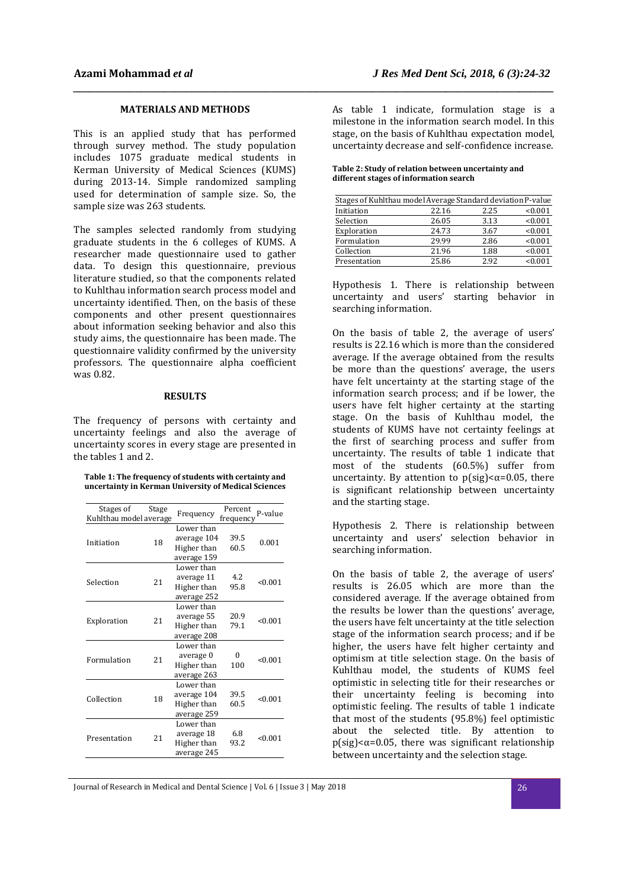## **MATERIALS AND METHODS**

This is an applied study that has performed through survey method. The study population includes 1075 graduate medical students in Kerman University of Medical Sciences (KUMS) during 2013-14. Simple randomized sampling used for determination of sample size. So, the sample size was 263 students.

The samples selected randomly from studying graduate students in the 6 colleges of KUMS. A researcher made questionnaire used to gather data. To design this questionnaire, previous literature studied, so that the components related to Kuhlthau information search process model and uncertainty identified. Then, on the basis of these components and other present questionnaires about information seeking behavior and also this study aims, the questionnaire has been made. The questionnaire validity confirmed by the university professors. The questionnaire alpha coefficient was 0.82.

#### **RESULTS**

The frequency of persons with certainty and uncertainty feelings and also the average of uncertainty scores in every stage are presented in the tables 1 and 2.

| Table 1: The frequency of students with certainty and |  |
|-------------------------------------------------------|--|
| uncertainty in Kerman University of Medical Sciences  |  |

| Stages of<br>Kuhlthau model average | Stage | Frequency                                               | Percent<br>frequency | P-value |
|-------------------------------------|-------|---------------------------------------------------------|----------------------|---------|
| Initiation                          | 18    | Lower than<br>average 104<br>Higher than<br>average 159 | 39.5<br>60.5         | 0.001   |
| Selection                           | 21    | Lower than<br>average 11<br>Higher than<br>average 252  | 4.2<br>95.8          | < 0.001 |
| Exploration                         | 21    | Lower than<br>average 55<br>Higher than<br>average 208  | 20.9<br>79.1         | < 0.001 |
| Formulation                         | 21    | Lower than<br>average 0<br>Higher than<br>average 263   | 0<br>100             | < 0.001 |
| Collection                          | 18    | Lower than<br>average 104<br>Higher than<br>average 259 | 39.5<br>60.5         | < 0.001 |
| Presentation                        | 21    | Lower than<br>average 18<br>Higher than<br>average 245  | 6.8<br>93.2          | < 0.001 |

As table 1 indicate, formulation stage is a milestone in the information search model. In this stage, on the basis of Kuhlthau expectation model, uncertainty decrease and self-confidence increase.

**Table 2: Study of relation between uncertainty and different stages of information search** 

*\_\_\_\_\_\_\_\_\_\_\_\_\_\_\_\_\_\_\_\_\_\_\_\_\_\_\_\_\_\_\_\_\_\_\_\_\_\_\_\_\_\_\_\_\_\_\_\_\_\_\_\_\_\_\_\_\_\_\_\_\_\_\_\_\_\_\_\_\_\_\_\_\_\_\_\_\_\_\_\_\_\_\_\_\_* 

| Stages of Kuhlthau model Average Standard deviation P-value |       |      |         |  |  |
|-------------------------------------------------------------|-------|------|---------|--|--|
| Initiation                                                  | 22.16 | 2.25 | < 0.001 |  |  |
| Selection                                                   | 26.05 | 3.13 | < 0.001 |  |  |
| Exploration                                                 | 24.73 | 3.67 | < 0.001 |  |  |
| Formulation                                                 | 29.99 | 2.86 | < 0.001 |  |  |
| Collection                                                  | 21.96 | 1.88 | < 0.001 |  |  |
| Presentation                                                | 25.86 | 292  | < 0.001 |  |  |

Hypothesis 1. There is relationship between uncertainty and users' starting behavior in searching information.

On the basis of table 2, the average of users' results is 22.16 which is more than the considered average. If the average obtained from the results be more than the questions' average, the users have felt uncertainty at the starting stage of the information search process; and if be lower, the users have felt higher certainty at the starting stage. On the basis of Kuhlthau model, the students of KUMS have not certainty feelings at the first of searching process and suffer from uncertainty. The results of table 1 indicate that most of the students (60.5%) suffer from uncertainty. By attention to  $p$ (sig)< $\alpha$ =0.05, there is significant relationship between uncertainty and the starting stage.

Hypothesis 2. There is relationship between uncertainty and users' selection behavior in searching information.

On the basis of table 2, the average of users' results is 26.05 which are more than the considered average. If the average obtained from the results be lower than the questions' average, the users have felt uncertainty at the title selection stage of the information search process; and if be higher, the users have felt higher certainty and optimism at title selection stage. On the basis of Kuhlthau model, the students of KUMS feel optimistic in selecting title for their researches or their uncertainty feeling is becoming into optimistic feeling. The results of table 1 indicate that most of the students (95.8%) feel optimistic about the selected title. By attention to  $p$ (sig)< $\alpha$ =0.05, there was significant relationship between uncertainty and the selection stage.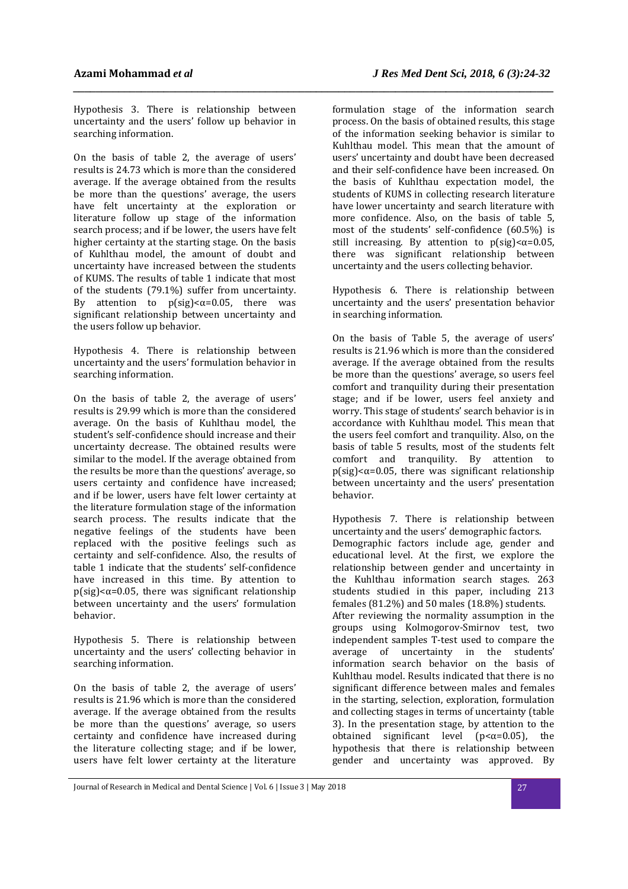Hypothesis 3. There is relationship between uncertainty and the users' follow up behavior in searching information.

*\_\_\_\_\_\_\_\_\_\_\_\_\_\_\_\_\_\_\_\_\_\_\_\_\_\_\_\_\_\_\_\_\_\_\_\_\_\_\_\_\_\_\_\_\_\_\_\_\_\_\_\_\_\_\_\_\_\_\_\_\_\_\_\_\_\_\_\_\_\_\_\_\_\_\_\_\_\_\_\_\_\_\_\_\_* 

On the basis of table 2, the average of users' results is 24.73 which is more than the considered average. If the average obtained from the results be more than the questions' average, the users have felt uncertainty at the exploration or literature follow up stage of the information search process; and if be lower, the users have felt higher certainty at the starting stage. On the basis of Kuhlthau model, the amount of doubt and uncertainty have increased between the students of KUMS. The results of table 1 indicate that most of the students (79.1%) suffer from uncertainty. By attention to  $p(\text{sig}) < \alpha = 0.05$ , there was significant relationship between uncertainty and the users follow up behavior.

Hypothesis 4. There is relationship between uncertainty and the users' formulation behavior in searching information.

On the basis of table 2, the average of users' results is 29.99 which is more than the considered average. On the basis of Kuhlthau model, the student's self-confidence should increase and their uncertainty decrease. The obtained results were similar to the model. If the average obtained from the results be more than the questions' average, so users certainty and confidence have increased; and if be lower, users have felt lower certainty at the literature formulation stage of the information search process. The results indicate that the negative feelings of the students have been replaced with the positive feelings such as certainty and self-confidence. Also, the results of table 1 indicate that the students' self-confidence have increased in this time. By attention to  $p$ (sig)< $\alpha$ =0.05, there was significant relationship between uncertainty and the users' formulation behavior.

Hypothesis 5. There is relationship between uncertainty and the users' collecting behavior in searching information.

On the basis of table 2, the average of users' results is 21.96 which is more than the considered average. If the average obtained from the results be more than the questions' average, so users certainty and confidence have increased during the literature collecting stage; and if be lower, users have felt lower certainty at the literature

formulation stage of the information search process. On the basis of obtained results, this stage of the information seeking behavior is similar to Kuhlthau model. This mean that the amount of users' uncertainty and doubt have been decreased and their self-confidence have been increased. On the basis of Kuhlthau expectation model, the students of KUMS in collecting research literature have lower uncertainty and search literature with more confidence. Also, on the basis of table 5, most of the students' self-confidence (60.5%) is still increasing. By attention to  $p$ (sig)< $\alpha$ =0.05, there was significant relationship between uncertainty and the users collecting behavior.

Hypothesis 6. There is relationship between uncertainty and the users' presentation behavior in searching information.

On the basis of Table 5, the average of users' results is 21.96 which is more than the considered average. If the average obtained from the results be more than the questions' average, so users feel comfort and tranquility during their presentation stage; and if be lower, users feel anxiety and worry. This stage of students' search behavior is in accordance with Kuhlthau model. This mean that the users feel comfort and tranquility. Also, on the basis of table 5 results, most of the students felt comfort and tranquility. By attention to  $p$ (sig)< $\alpha$ =0.05, there was significant relationship between uncertainty and the users' presentation behavior.

Hypothesis 7. There is relationship between uncertainty and the users' demographic factors. Demographic factors include age, gender and educational level. At the first, we explore the relationship between gender and uncertainty in the Kuhlthau information search stages. 263 students studied in this paper, including 213 females (81.2%) and 50 males (18.8%) students. After reviewing the normality assumption in the groups using Kolmogorov-Smirnov test, two independent samples T-test used to compare the average of uncertainty in the students' information search behavior on the basis of Kuhlthau model. Results indicated that there is no significant difference between males and females in the starting, selection, exploration, formulation and collecting stages in terms of uncertainty (table 3). In the presentation stage, by attention to the obtained significant level ( $p < \alpha = 0.05$ ), the hypothesis that there is relationship between gender and uncertainty was approved. By

Journal of Research in Medical and Dental Science | Vol. 6 | Issue 3 | May 2018 27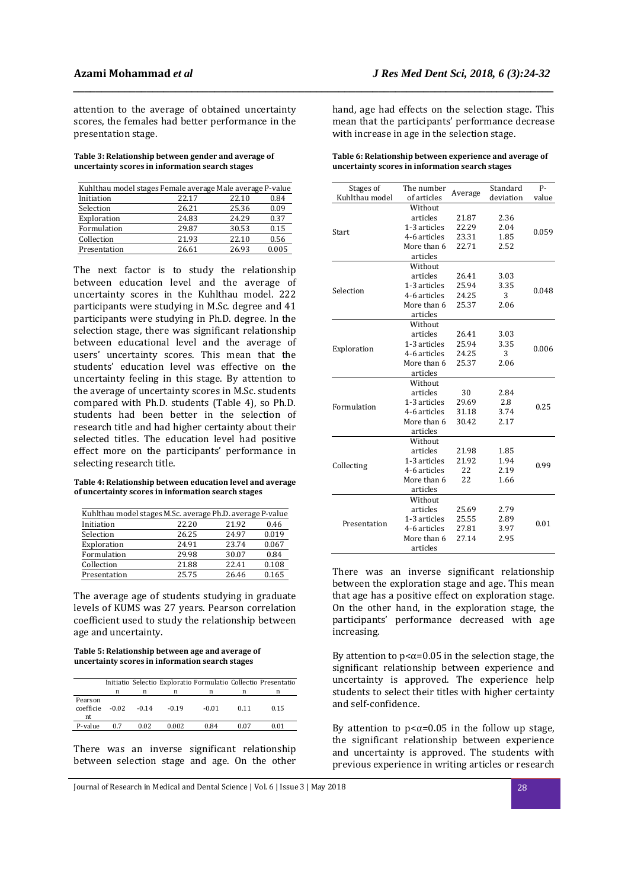attention to the average of obtained uncertainty scores, the females had better performance in the presentation stage.

**Table 3: Relationship between gender and average of uncertainty scores in information search stages** 

| Kuhlthau model stages Female average Male average P-value |       |       |       |
|-----------------------------------------------------------|-------|-------|-------|
| Initiation                                                | 22.17 | 22.10 | 0.84  |
| Selection                                                 | 26.21 | 25.36 | 0.09  |
| Exploration                                               | 24.83 | 24.29 | 0.37  |
| Formulation                                               | 29.87 | 30.53 | 0.15  |
| Collection                                                | 21.93 | 22.10 | 0.56  |
| Presentation                                              | 26.61 | 26.93 | 0.005 |

The next factor is to study the relationship between education level and the average of uncertainty scores in the Kuhlthau model. 222 participants were studying in M.Sc. degree and 41 participants were studying in Ph.D. degree. In the selection stage, there was significant relationship between educational level and the average of users' uncertainty scores. This mean that the students' education level was effective on the uncertainty feeling in this stage. By attention to the average of uncertainty scores in M.Sc. students compared with Ph.D. students (Table 4), so Ph.D. students had been better in the selection of research title and had higher certainty about their selected titles. The education level had positive effect more on the participants' performance in selecting research title.

#### **Table 4: Relationship between education level and average of uncertainty scores in information search stages**

| Kuhlthau model stages M.Sc. average Ph.D. average P-value |       |       |       |
|-----------------------------------------------------------|-------|-------|-------|
| Initiation                                                | 22.20 | 21.92 | 0.46  |
| Selection                                                 | 26.25 | 24.97 | 0.019 |
| Exploration                                               | 24.91 | 23.74 | 0.067 |
| Formulation                                               | 29.98 | 30.07 | 0.84  |
| Collection                                                | 21.88 | 22.41 | 0.108 |
| Presentation                                              | 25.75 | 26.46 | 0.165 |

The average age of students studying in graduate levels of KUMS was 27 years. Pearson correlation coefficient used to study the relationship between age and uncertainty.

### **Table 5: Relationship between age and average of uncertainty scores in information search stages**

|                            |         |         |         |         |      | Initiatio Selectio Exploratio Formulatio Collectio Presentatio |
|----------------------------|---------|---------|---------|---------|------|----------------------------------------------------------------|
|                            | n       | n       | n       | n       |      | n                                                              |
| Pearson<br>coefficie<br>nt | $-0.02$ | $-0.14$ | $-0.19$ | $-0.01$ | 0.11 | 0.15                                                           |
| P-value                    | 0.7     | 0.02    | 0.002   | 0.84    | 0.07 | 0.01                                                           |

There was an inverse significant relationship between selection stage and age. On the other

hand, age had effects on the selection stage. This mean that the participants' performance decrease with increase in age in the selection stage.

*\_\_\_\_\_\_\_\_\_\_\_\_\_\_\_\_\_\_\_\_\_\_\_\_\_\_\_\_\_\_\_\_\_\_\_\_\_\_\_\_\_\_\_\_\_\_\_\_\_\_\_\_\_\_\_\_\_\_\_\_\_\_\_\_\_\_\_\_\_\_\_\_\_\_\_\_\_\_\_\_\_\_\_\_\_* 

| Table 6: Relationship between experience and average of |
|---------------------------------------------------------|
| uncertainty scores in information search stages         |

| Stages of      | The number   |         | Standard  | P-    |
|----------------|--------------|---------|-----------|-------|
| Kuhlthau model | of articles  | Average | deviation | value |
|                | Without      |         |           |       |
|                | articles     | 21.87   | 2.36      |       |
|                | 1-3 articles | 22.29   | 2.04      |       |
| Start          | 4-6 articles | 23.31   | 1.85      | 0.059 |
|                | More than 6  | 22.71   | 2.52      |       |
|                | articles     |         |           |       |
|                | Without      |         |           |       |
|                | articles     | 26.41   | 3.03      |       |
| Selection      | 1-3 articles | 25.94   | 3.35      | 0.048 |
|                | 4-6 articles | 24.25   | 3         |       |
|                | More than 6  | 25.37   | 2.06      |       |
|                | articles     |         |           |       |
|                | Without      |         |           |       |
|                | articles     | 26.41   | 3.03      |       |
|                | 1-3 articles | 25.94   | 3.35      | 0.006 |
| Exploration    | 4-6 articles | 24.25   | 3         |       |
|                | More than 6  | 25.37   | 2.06      |       |
|                | articles     |         |           |       |
|                | Without      |         |           |       |
|                | articles     | 30      | 2.84      |       |
| Formulation    | 1-3 articles | 29.69   | 2.8       | 0.25  |
|                | 4-6 articles | 31.18   | 3.74      |       |
|                | More than 6  | 30.42   | 2.17      |       |
|                | articles     |         |           |       |
|                | Without      |         |           |       |
|                | articles     | 21.98   | 1.85      |       |
| Collecting     | 1-3 articles | 21.92   | 1.94      | 0.99  |
|                | 4-6 articles | 22      | 2.19      |       |
|                | More than 6  | 22      | 1.66      |       |
|                | articles     |         |           |       |
| Presentation   | Without      |         |           |       |
|                | articles     | 25.69   | 2.79      |       |
|                | 1-3 articles | 25.55   | 2.89      | 0.01  |
|                | 4-6 articles | 27.81   | 3.97      |       |
|                | More than 6  | 27.14   | 2.95      |       |
|                | articles     |         |           |       |

There was an inverse significant relationship between the exploration stage and age. This mean that age has a positive effect on exploration stage. On the other hand, in the exploration stage, the participants' performance decreased with age increasing.

By attention to  $p<\alpha=0.05$  in the selection stage, the significant relationship between experience and uncertainty is approved. The experience help students to select their titles with higher certainty and self-confidence.

By attention to  $p < \alpha = 0.05$  in the follow up stage, the significant relationship between experience and uncertainty is approved. The students with previous experience in writing articles or research

Journal of Research in Medical and Dental Science | Vol. 6 | Issue 3 | May 2018 28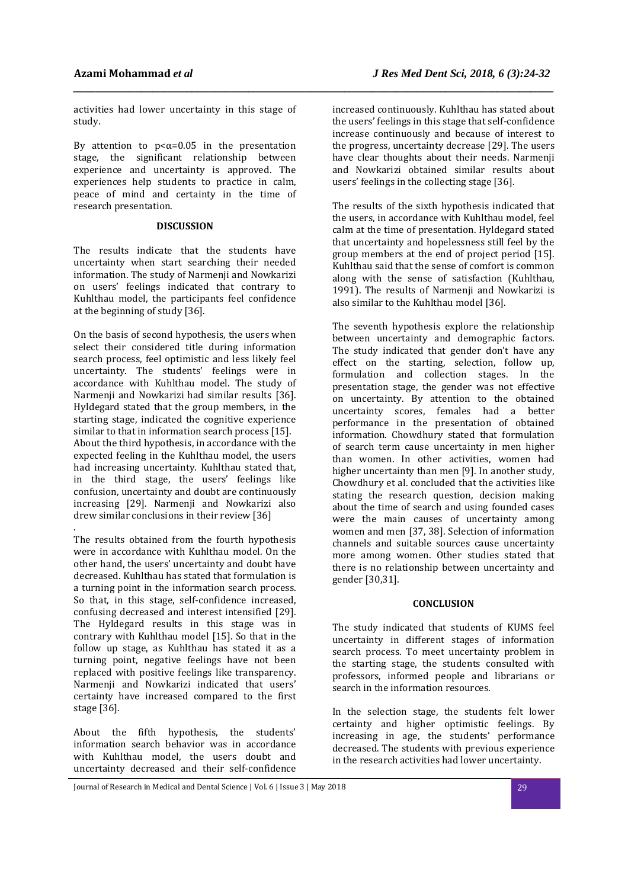activities had lower uncertainty in this stage of study.

*\_\_\_\_\_\_\_\_\_\_\_\_\_\_\_\_\_\_\_\_\_\_\_\_\_\_\_\_\_\_\_\_\_\_\_\_\_\_\_\_\_\_\_\_\_\_\_\_\_\_\_\_\_\_\_\_\_\_\_\_\_\_\_\_\_\_\_\_\_\_\_\_\_\_\_\_\_\_\_\_\_\_\_\_\_* 

By attention to  $p < \alpha = 0.05$  in the presentation stage, the significant relationship between experience and uncertainty is approved. The experiences help students to practice in calm, peace of mind and certainty in the time of research presentation.

## **DISCUSSION**

The results indicate that the students have uncertainty when start searching their needed information. The study of Narmenji and Nowkarizi on users' feelings indicated that contrary to Kuhlthau model, the participants feel confidence at the beginning of study [36].

On the basis of second hypothesis, the users when select their considered title during information search process, feel optimistic and less likely feel uncertainty. The students' feelings were in accordance with Kuhlthau model. The study of Narmenji and Nowkarizi had similar results [36]. Hyldegard stated that the group members, in the starting stage, indicated the cognitive experience similar to that in information search process [15]. About the third hypothesis, in accordance with the expected feeling in the Kuhlthau model, the users had increasing uncertainty. Kuhlthau stated that, in the third stage, the users' feelings like confusion, uncertainty and doubt are continuously increasing [29]. Narmenii and Nowkarizi also drew similar conclusions in their review [36]

. The results obtained from the fourth hypothesis were in accordance with Kuhlthau model. On the other hand, the users' uncertainty and doubt have decreased. Kuhlthau has stated that formulation is a turning point in the information search process. So that, in this stage, self-confidence increased, confusing decreased and interest intensified [29]. The Hyldegard results in this stage was in contrary with Kuhlthau model [15]. So that in the follow up stage, as Kuhlthau has stated it as a turning point, negative feelings have not been replaced with positive feelings like transparency. Narmenji and Nowkarizi indicated that users' certainty have increased compared to the first stage [36].

About the fifth hypothesis, the students' information search behavior was in accordance with Kuhlthau model, the users doubt and uncertainty decreased and their self-confidence

increased continuously. Kuhlthau has stated about the users' feelings in this stage that self-confidence increase continuously and because of interest to the progress, uncertainty decrease [29]. The users have clear thoughts about their needs. Narmenji and Nowkarizi obtained similar results about users' feelings in the collecting stage [36].

The results of the sixth hypothesis indicated that the users, in accordance with Kuhlthau model, feel calm at the time of presentation. Hyldegard stated that uncertainty and hopelessness still feel by the group members at the end of project period [15]. Kuhlthau said that the sense of comfort is common along with the sense of satisfaction (Kuhlthau, 1991). The results of Narmenji and Nowkarizi is also similar to the Kuhlthau model [36].

The seventh hypothesis explore the relationship between uncertainty and demographic factors. The study indicated that gender don't have any effect on the starting, selection, follow up, formulation and collection stages. In the presentation stage, the gender was not effective on uncertainty. By attention to the obtained uncertainty scores, females had a better performance in the presentation of obtained information. Chowdhury stated that formulation of search term cause uncertainty in men higher than women. In other activities, women had higher uncertainty than men [9]. In another study, Chowdhury et al. concluded that the activities like stating the research question, decision making about the time of search and using founded cases were the main causes of uncertainty among women and men [37, 38]. Selection of information channels and suitable sources cause uncertainty more among women. Other studies stated that there is no relationship between uncertainty and gender [30,31].

## **CONCLUSION**

The study indicated that students of KUMS feel uncertainty in different stages of information search process. To meet uncertainty problem in the starting stage, the students consulted with professors, informed people and librarians or search in the information resources.

In the selection stage, the students felt lower certainty and higher optimistic feelings. By increasing in age, the students' performance decreased. The students with previous experience in the research activities had lower uncertainty.

Journal of Research in Medical and Dental Science | Vol. 6 | Issue 3 | May 2018 29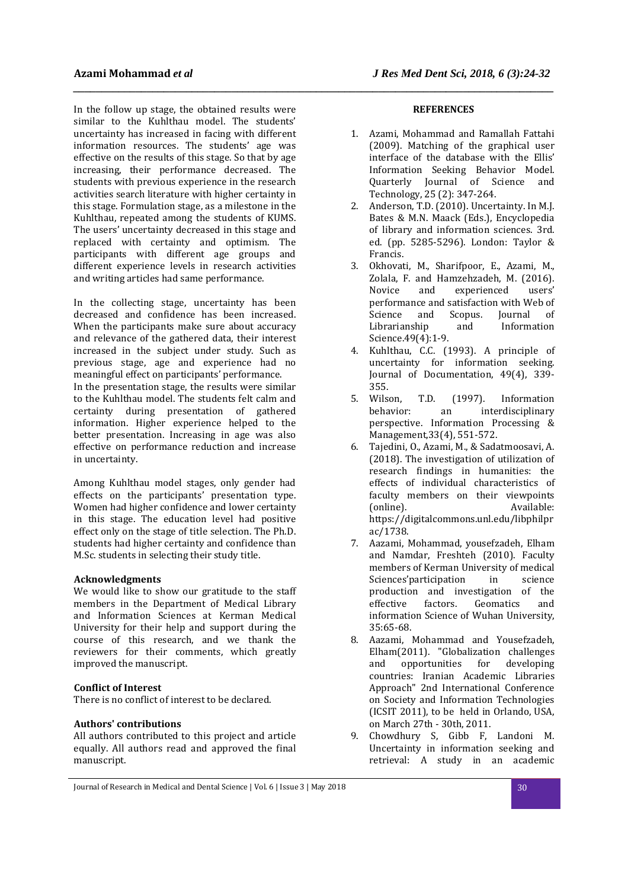In the follow up stage, the obtained results were similar to the Kuhlthau model. The students' uncertainty has increased in facing with different information resources. The students' age was effective on the results of this stage. So that by age increasing, their performance decreased. The students with previous experience in the research activities search literature with higher certainty in this stage. Formulation stage, as a milestone in the Kuhlthau, repeated among the students of KUMS. The users' uncertainty decreased in this stage and replaced with certainty and optimism. The participants with different age groups and different experience levels in research activities and writing articles had same performance.

In the collecting stage, uncertainty has been decreased and confidence has been increased. When the participants make sure about accuracy and relevance of the gathered data, their interest increased in the subject under study. Such as previous stage, age and experience had no meaningful effect on participants' performance.

In the presentation stage, the results were similar to the Kuhlthau model. The students felt calm and certainty during presentation of gathered information. Higher experience helped to the better presentation. Increasing in age was also effective on performance reduction and increase in uncertainty.

Among Kuhlthau model stages, only gender had effects on the participants' presentation type. Women had higher confidence and lower certainty in this stage. The education level had positive effect only on the stage of title selection. The Ph.D. students had higher certainty and confidence than M.Sc. students in selecting their study title.

## **Acknowledgments**

We would like to show our gratitude to the staff members in the Department of Medical Library and Information Sciences at Kerman Medical University for their help and support during the course of this research, and we thank the reviewers for their comments, which greatly improved the manuscript.

## **Conflict of Interest**

There is no conflict of interest to be declared.

## **Authors' contributions**

All authors contributed to this project and article equally. All authors read and approved the final manuscript.

## **REFERENCES**

*\_\_\_\_\_\_\_\_\_\_\_\_\_\_\_\_\_\_\_\_\_\_\_\_\_\_\_\_\_\_\_\_\_\_\_\_\_\_\_\_\_\_\_\_\_\_\_\_\_\_\_\_\_\_\_\_\_\_\_\_\_\_\_\_\_\_\_\_\_\_\_\_\_\_\_\_\_\_\_\_\_\_\_\_\_* 

- 1. Azami, Mohammad and Ramallah Fattahi (2009). Matching of the graphical user interface of the database with the Ellis' Information Seeking Behavior Model. Quarterly Journal of Science and Technology, 25 (2): 347-264.
- 2. Anderson, T.D. (2010). Uncertainty. In M.J. Bates & M.N. Maack (Eds.), Encyclopedia of library and information sciences. 3rd. ed. (pp. 5285-5296). London: Taylor & Francis.
- 3. Okhovati, M., Sharifpoor, E., Azami, M., Zolala, F. and Hamzehzadeh, M. (2016). Novice and experienced users' performance and satisfaction with Web of Science and Scopus. Journal of Librarianship and Information Science.49(4):1-9.
- 4. Kuhlthau, C.C. (1993). A principle of uncertainty for information seeking. Journal of Documentation, 49(4), 339- 355.
- 5. Wilson, T.D. (1997). Information behavior: an interdisciplinary perspective. Information Processing & Management,33(4), 551-572.
- 6. Tajedini, O., Azami, M., & Sadatmoosavi, A. (2018). The investigation of utilization of research findings in humanities: the effects of individual characteristics of faculty members on their viewpoints (online). Available: https://digitalcommons.unl.edu/libphilpr ac/1738.
- 7. Aazami, Mohammad, yousefzadeh, Elham and Namdar, Freshteh (2010). Faculty members of Kerman University of medical Sciences'participation in science production and investigation of the effective factors. Geomatics and information Science of Wuhan University, 35:65-68.
- 8. Aazami, Mohammad and Yousefzadeh, Elham(2011). "Globalization challenges and opportunities for developing countries: Iranian Academic Libraries Approach" 2nd International Conference on Society and Information Technologies (ICSIT 2011), to be held in Orlando, USA, on March 27th - 30th, 2011.
- 9. Chowdhury S, Gibb F, Landoni M. Uncertainty in information seeking and retrieval: A study in an academic

Journal of Research in Medical and Dental Science | Vol. 6 | Issue 3 | May 2018 30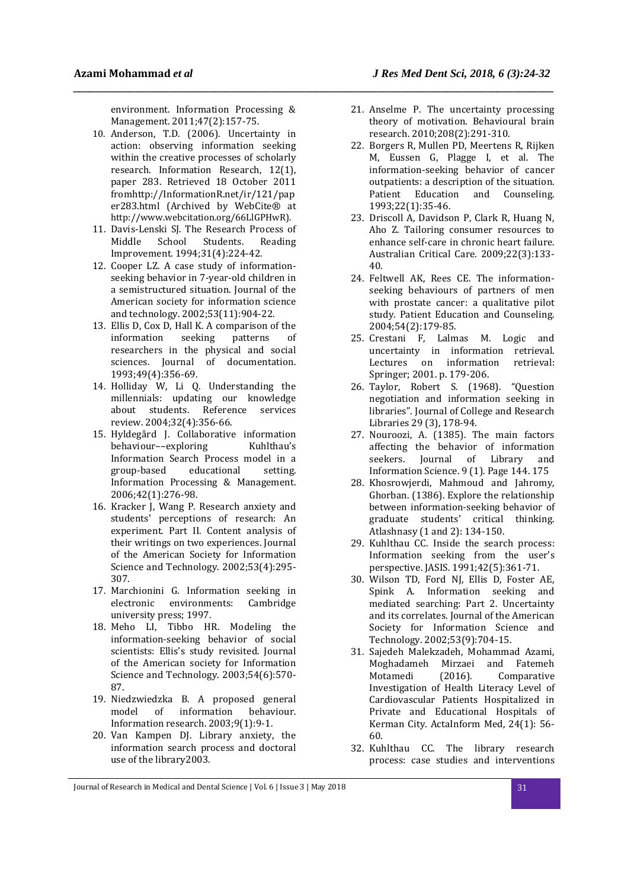environment. Information Processing & Management. 2011;47(2):157-75.

*\_\_\_\_\_\_\_\_\_\_\_\_\_\_\_\_\_\_\_\_\_\_\_\_\_\_\_\_\_\_\_\_\_\_\_\_\_\_\_\_\_\_\_\_\_\_\_\_\_\_\_\_\_\_\_\_\_\_\_\_\_\_\_\_\_\_\_\_\_\_\_\_\_\_\_\_\_\_\_\_\_\_\_\_\_* 

- 10. Anderson, T.D. (2006). Uncertainty in action: observing information seeking within the creative processes of scholarly research. Information Research, 12(1), paper 283. Retrieved 18 October 2011 fromhttp://InformationR.net/ir/121/pap er283.html (Archived by WebCite® at http://www.webcitation.org/66LlGPHwR).
- 11. Davis-Lenski SJ. The Research Process of<br>Middle School Students Reading Middle School Students. Reading Improvement. 1994;31(4):224-42.
- 12. Cooper LZ. A case study of informationseeking behavior in 7-year-old children in a semistructured situation. Journal of the American society for information science and technology. 2002;53(11):904-22.
- 13. Ellis D, Cox D, Hall K. A comparison of the information seeking patterns of researchers in the physical and social sciences. Journal of documentation. 1993;49(4):356-69.
- 14. Holliday W, Li Q. Understanding the millennials: updating our knowledge about students. Reference services review. 2004;32(4):356-66.
- 15. Hyldegård J. Collaborative information behaviour--exploring Kuhlthau's Information Search Process model in a group-based educational setting. Information Processing & Management. 2006;42(1):276-98.
- 16. Kracker J, Wang P. Research anxiety and students' perceptions of research: An experiment. Part II. Content analysis of their writings on two experiences. Journal of the American Society for Information Science and Technology. 2002;53(4):295- 307.
- 17. Marchionini G. Information seeking in electronic environments: Cambridge university press; 1997.
- 18. Meho LI, Tibbo HR. Modeling the information-seeking behavior of social scientists: Ellis's study revisited. Journal of the American society for Information Science and Technology. 2003;54(6):570- 87.
- 19. Niedzwiedzka B. A proposed general model of information behaviour. Information research. 2003;9(1):9-1.
- 20. Van Kampen DJ. Library anxiety, the information search process and doctoral use of the library2003.
- 21. Anselme P. The uncertainty processing theory of motivation. Behavioural brain research. 2010;208(2):291-310.
- 22. Borgers R, Mullen PD, Meertens R, Rijken M, Eussen G, Plagge I, et al. The information-seeking behavior of cancer outpatients: a description of the situation. Patient Education and Counseling. 1993;22(1):35-46.
- 23. Driscoll A, Davidson P, Clark R, Huang N, Aho Z. Tailoring consumer resources to enhance self-care in chronic heart failure. Australian Critical Care. 2009;22(3):133- 40.
- 24. Feltwell AK, Rees CE. The informationseeking behaviours of partners of men with prostate cancer: a qualitative pilot study. Patient Education and Counseling. 2004;54(2):179-85.
- 25. Crestani F, Lalmas M. Logic and uncertainty in information retrieval. Lectures on information retrieval: Springer; 2001. p. 179-206.
- 26. Taylor, Robert S. (1968). "Question negotiation and information seeking in libraries". Journal of College and Research Libraries 29 (3), 178-94.
- 27. Nouroozi, A. (1385). The main factors affecting the behavior of information seekers. Journal of Library and Information Science. 9 (1). Page 144. 175
- 28. Khosrowjerdi, Mahmoud and Jahromy, Ghorban. (1386). Explore the relationship between information-seeking behavior of graduate students' critical thinking. Atlashnasy (1 and 2): 134-150.
- 29. Kuhlthau CC. Inside the search process: Information seeking from the user's perspective. JASIS. 1991;42(5):361-71.
- 30. Wilson TD, Ford NJ, Ellis D, Foster AE, Spink A. Information seeking and mediated searching: Part 2. Uncertainty and its correlates. Journal of the American Society for Information Science and Technology. 2002;53(9):704-15.
- 31. Sajedeh Malekzadeh, Mohammad Azami, Moghadameh Mirzaei and Fatemeh Motamedi (2016). Comparative Investigation of Health Literacy Level of Cardiovascular Patients Hospitalized in Private and Educational Hospitals of Kerman City. ActaInform Med, 24(1): 56- 60.
- 32. Kuhlthau CC. The library research process: case studies and interventions

Journal of Research in Medical and Dental Science | Vol. 6 | Issue 3 | May 2018 31